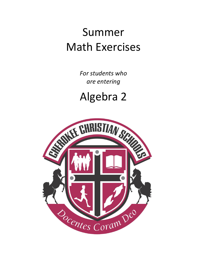# Summer Math Exercises

*For students who are entering*

Algebra 2

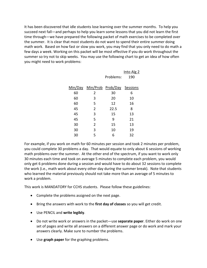It has been discovered that idle students lose learning over the summer months. To help you succeed next fall—and perhaps to help you learn some lessons that you did not learn the first time through—we have prepared the following packet of math exercises to be completed over the summer. It is clear that most students do not want to spend their entire summer doing math work. Based on how fast or slow you work, you may find that you only need to do math a few days a week. Working on this packet will be most effective if you do work throughout the summer so try not to skip weeks. You may use the following chart to get an idea of how often you might need to work problems:

|                |           | Into Alg 2                         |
|----------------|-----------|------------------------------------|
|                | Problems: | 190                                |
|                |           |                                    |
|                |           |                                    |
| 2              | 30        | 6                                  |
| 3              | 20        | 10                                 |
| 5              | 12        | 16                                 |
| 2              | 22.5      | 8                                  |
| 3              | 15        | 13                                 |
| 5              | 9         | 21                                 |
| $\overline{2}$ | 15        | 13                                 |
| 3              | 10        | 19                                 |
| 5              | 6         | 32                                 |
|                |           | Min/Day Min/Prob Prob/Day Sessions |

For example, if you work on math for 60 minutes per session and took 2 minutes per problem, you could complete 30 problems a day. That would equate to only about 6 sessions of working math problems over the summer. At the other end of the spectrum, if you want to work only 30 minutes each time and took on average 5 minutes to complete each problem, you would only get 6 problems done during a session and would have to do about 32 sessions to complete the work (i.e., math work about every other day during the summer break). Note that students who learned the material previously should not take more than an average of 5 minutes to work a problem.

This work is MANDATORY for CCHS students. Please follow these guidelines:

- Complete the problems assigned on the next page.
- Bring the answers with work to the **first day of classes** so you will get credit.
- Use PENCIL and **write legibly**.
- Do not write work or answers in the packet—use **separate paper**. Either do work on one set of pages and write all answers on a different answer page or do work and mark your answers clearly. Make sure to number the problems.
- Use **graph paper** for the graphing problems.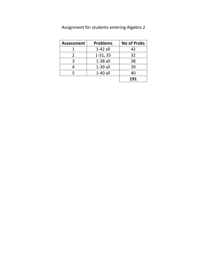| <b>Assessment</b> | <b>Problems</b> | <b>No of Probs</b> |
|-------------------|-----------------|--------------------|
|                   | $1-42$ all      | 42                 |
| $\mathcal{L}$     | $1-31, 35$      | 32                 |
| २                 | $1-38$ all      | 38                 |
|                   | $1-39$ all      | 39                 |
|                   | $1-40$ all      | 40                 |
|                   |                 | 191                |

Assignment for students entering Algebra 2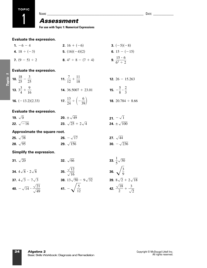**TOPIC**

1

# *Assessment*

**For use with Topic 1: Numerical Expressions**

#### **Evaluate the expression.**

| 1. $-6 - 4$       | <b>2.</b> 16 + $(-6)$            | <b>3.</b> $(-5)(-8)$                      |
|-------------------|----------------------------------|-------------------------------------------|
| 4. $18 \div (-3)$ | 5. $(16)(-4)(2)$                 | 6. $15 - (-15)$                           |
| 7. $(9-5) \div 2$ | <b>8.</b> $4^2 \div 8 - (7 + 4)$ | <b>9.</b> $\frac{15 \cdot 6}{6^2 \div 2}$ |

## **Evaluate the expression.**

*Topic 1*

| 10. $\frac{18}{25} - \frac{3}{25}$       | <b>11.</b> $\frac{7}{12} + \frac{11}{18}$                  | <b>12.</b> $26 - 15.263$                    |
|------------------------------------------|------------------------------------------------------------|---------------------------------------------|
| <b>13.</b> $3\frac{3}{4} + \frac{9}{16}$ | <b>14.</b> 36.5007 + 23.01                                 | <b>15.</b> $-\frac{5}{8} \cdot \frac{2}{3}$ |
| <b>16.</b> $(-13.2)(2.33)$               | <b>17.</b> $\frac{13}{24} \div \left(-\frac{6}{39}\right)$ | <b>18.</b> 20.784 $\div$ 8.66               |

| <b>Evaluate the expression.</b> |                                    |                             |
|---------------------------------|------------------------------------|-----------------------------|
| <b>19.</b> $\sqrt{0}$           | <b>20.</b> $\pm \sqrt{49}$         | 21. $-\sqrt{1}$             |
| <b>22.</b> $\sqrt{-16}$         | <b>23.</b> $\sqrt{25} + 2\sqrt{4}$ | <b>24.</b> $\pm \sqrt{100}$ |

| Approximate the square root. |                         |                          |
|------------------------------|-------------------------|--------------------------|
| <b>25.</b> $\sqrt{38}$       | <b>26.</b> $-\sqrt{17}$ | <b>27.</b> $\sqrt{44}$   |
| <b>28.</b> $\sqrt{95}$       | <b>29.</b> $\sqrt{156}$ | <b>30.</b> $-\sqrt{236}$ |

#### **Simplify the expression.**

| <b>31.</b> $\sqrt{20}$                             | <b>32.</b> $\sqrt{66}$                   | <b>33.</b> $\frac{1}{5}\sqrt{50}$              |
|----------------------------------------------------|------------------------------------------|------------------------------------------------|
| <b>34.</b> $4\sqrt{8} \cdot 2\sqrt{8}$             | <b>35.</b> $\frac{\sqrt{12}}{\sqrt{16}}$ | 36. $\sqrt{\frac{3}{9}}$                       |
| <b>37.</b> $4\sqrt{3} - 7\sqrt{3}$                 | <b>38.</b> $13\sqrt{50} - 9\sqrt{32}$    | <b>39.</b> $8\sqrt{2} + 2\sqrt{2}$             |
| 40. $-\sqrt{14} \cdot \frac{\sqrt{21}}{\sqrt{49}}$ | 41. $-\sqrt{\frac{5}{12}}$               | 42. $\frac{\sqrt{18}}{2} + \frac{3}{\sqrt{2}}$ |

 $\frac{2}{2} + 2\sqrt{18}$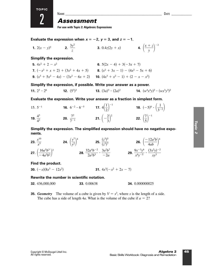

# *Assessment*

**For use with Topic 2: Algebraic Expressions**

**Evaluate the expression when**  $x = -2$ **,**  $y = 3$ **, and**  $z = -1$ **.** 

**1.** 
$$
2(x - y)^2
$$
 **2.**  $\frac{3y^2}{z}$  **3.**  $0.4z(2y + x)$  **4.**  $\left(\frac{x + z}{y}\right)^{-2}$ 

**Simplify the expression.**

2

**TOPIC**

**5.** 
$$
4x^2 + 2 - x^2
$$
  
\n**6.**  $5(2x - 4) + 3(-3x + 7)$   
\n**7.**  $(-x^2 + x + 2) + (3x^2 + 4x + 5)$   
\n**8.**  $(x^2 + 3x - 1) - (4x^2 - 5x + 6)$   
\n**9.**  $(x^3 + 5x^2 - 4x) - (3x^2 - 6x + 2)$   
\n**10.**  $(4x^3 + x^2 - 1) + (2 - x - x^2)$ 

**Simplify the expression, if possible. Write your answer as a power.**

**11.**  $2^3 \cdot 2^6$  **12.**  $(5^3)^2$  **13.**  $(3a)^3 \cdot (2a)^2$  **14.**  $(3a)^3 \cdot (2a)^2$  **14.**  $(w^4x^4y)^2 \cdot (wx^3y^3)^2$  $2^3 \cdot 2^6$  **12.**  $(5^3)^2$ 

**Evaluate the expression. Write your answer as a fraction in simplest form.**

15.  $5^{-1}$  **16.**  $6^{-2} \cdot 6^{-5}$  **17.**  $4\left(\frac{1}{2}\right)^{-1}$  **18.**  $(-5)^0 \cdot \left(\frac{1}{3^{-1}}\right)$ **19.**  $\frac{4^3}{4^2}$  **20.**  $\frac{7^2}{7^{-1}}$  **21.**  $\left(-\frac{2}{3}\right)^2$  **22.**  $\left(\frac{7}{5}\right)^{-1}$ 43 42 5<sup>-1</sup> **16.**  $6^{-2} \cdot 6^{-5}$  **17.**  $4\left(\frac{1}{2}\right)^{-1}$  **18.**  $(-5)^0 \cdot \left(\frac{1}{3^{-2}}\right)$  $15.5^{-1}$ 

**Simplify the expression. The simplified expression should have no negative exponents.**

**23.** 
$$
\frac{x^{10}}{x^3}
$$
 **24.**  $\left(\frac{y^7}{y^2}\right)^4$  **25.**  $\frac{(z^3)^5}{(z^3)^7}$  **26.**  $\left(\frac{-12a^3b}{4ab}\right)^4$   
**27.**  $\left(\frac{16a^5b^3}{-4a^3b^2}\right)^2$  **28.**  $\frac{32a^4b^{-2}}{2a^3b^3} \cdot \frac{3a^2b^7}{-2a}$  **29.**  $\frac{9x^{-3}y^6}{x^4y^{-5}} \cdot \frac{(3x^2y)^{-2}}{xy^3}$ 

**Find the product.**

**30.**  $(-x)(8x^3 - 12x^2)$  **31.**  $4x^3(-x)$  $8x^3 - 12x^2$  31.  $4x^3(-x^2 + 2x - 7)$ 

#### **Rewrite the number in scientific notation.**

**32.** 436,000,000 **33.** 0.00638 **34.** 0.000000025

**35.** *Geometry* The volume of a cube is given by  $V = s^3$ , where *s* is the length of a side. The cube has a side of length 4*a*. What is the volume of the cube if  $a = 2$ ?

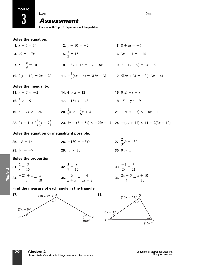# *Assessment*  $\theta$  and  $\theta$  are the set of  $\theta$  and  $\theta$  are  $\theta$  and  $\theta$  are  $\theta$  and  $\theta$  are  $\theta$  and  $\theta$  and  $\theta$  and  $\theta$  and  $\theta$  and  $\theta$  and  $\theta$  and  $\theta$  and  $\theta$  and  $\theta$  and  $\theta$  and  $\theta$  and  $\theta$  and  $\theta$  and  $\theta$  and  $\theta$

**For use with Topic 3: Equations and Inequalities**

#### **Solve the equation.**

- **1.**  $x + 5 = 14$  **2.**  $y 10 = -2$  **3.**  $8 + m = -6$ **4.**  $49 = -7x$  **5.**  $\frac{1}{3} = 15$  **6. 7.**  $5 + \frac{a}{0} = 10$  **8.**  $-8x + 12 = -2 - 8x$  **9.**  $7 - (x + 9) = 3x - 6$ **10.**  $2(x - 10) = 2x - 20$  **11.**  $-\frac{1}{2}(4x - 6) = 3(2x - 3)$  **12.**  $5(2x + 3) = -3(-3x + 4)$ **Solve the inequality. 13.**  $n + 7 < -2$  **14.**  $4 > x - 12$ **16.**  $\frac{y}{2} \ge -9$  **17.**  $-16x > -48$  **18.**  $15 - y \le 19$ **19.**  $6 - 2x < -24$  **20.**  $\frac{1}{3}n \ge -\frac{1}{6}n + 4$  **21.**  $-3(2x - 3) > -8x + 1$ **22.**  $\frac{2}{3}x - 1 < 3\left(\frac{5}{6}x + 7\right)$  **23.**  $3x - (3 - 5x) \le -2(x - 1)$  **24.**  $-(4x + 13) > 11 - 2(3x + 12)$ **Solve the equation or inequality if possible.**  $\left(\frac{5}{6}x + 7\right)$ 16.  $\frac{y}{2} \ge -9$ **15.**  $0 \le -8 - x$  $2(x - 10) = 2x - 20$  **11.**  $-\frac{1}{2}($ 7.  $5 + \frac{a}{9} = 10$ **6.**  $3x - 11 = -14$
- **25.**  $4x^2 = 16$  **26.**  $-180 = -5x^2$ **28.**  $|x| = -7$  **29.**  $|y| < 12$  **30.**  $0 > |n|$ **29.**  $|y| < 12$  $4x^2 = 16$  **26.**  $-180 = -5x^2$  **27.**  $\frac{2}{3}y^2 = 150$

#### **Solve the proportion.**

*Topic 3*



#### **Find the measure of each angle in the triangle.**

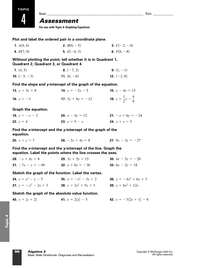**TOPIC**

4

## *Assessment*

**For use with Topic 4: Graphing Equations**

**Plot and label the ordered pair in a coordinate plane.**

| <b>1.</b> $A(4, 6)$ | <b>2.</b> $B(0, -5)$ | <b>3.</b> $C(-2, -4)$ |
|---------------------|----------------------|-----------------------|
| 4. $D(7, 0)$        | 5. $E(-6, 3)$        | 6. $F(8, -8)$         |

#### **Without plotting the point, tell whether it is in Quadrant 1, Quadrant 2, Quadrant 3, or Quadrant 4.**

| <b>7.</b> $(4, 5)$    | 8. $(-7, 2)$         | <b>9.</b> $(1, -1)$  |
|-----------------------|----------------------|----------------------|
| <b>10.</b> $(-5, -3)$ | <b>11.</b> $(6, -6)$ | <b>12.</b> $(-2, 8)$ |

#### **Find the slope and** *y***-intercept of the graph of the equation.**

| <b>13.</b> $y = 3x + 8$ | <b>14.</b> $y = -2x - 5$   | <b>15.</b> $y - 4x = 13$                    |
|-------------------------|----------------------------|---------------------------------------------|
| <b>16.</b> $y = -1$     | <b>17.</b> $3y + 6x = -12$ | <b>18.</b> $y = \frac{1}{2}x - \frac{4}{9}$ |

#### **Graph the equation.**

| <b>19.</b> $y = -x - 2$ | <b>20.</b> $x - 4y = 12$ | <b>21.</b> $-x + 6y = -24$ |
|-------------------------|--------------------------|----------------------------|
| <b>22.</b> $y = 4$      | <b>23.</b> $y = 5 - x$   | <b>24.</b> $x + y = 3$     |

#### **Find the** *x***-intercept and the** *y***-intercept of the graph of the equation.**

| <b>25.</b> $x + y = 7$ | <b>26.</b> $-2x + 4y = 8$ | <b>27.</b> $9x - 3y = -27$ |
|------------------------|---------------------------|----------------------------|
|                        |                           |                            |

#### **Find the** *x***-intercept and the** *y***-intercept of the line. Graph the equation. Label the points where the line crosses the axes.**

| <b>28.</b> $-x + 4y = 8$   | <b>29.</b> $3x + 5y = 15$ | <b>30.</b> $4x - 5y = -20$ |
|----------------------------|---------------------------|----------------------------|
| <b>31.</b> $-7x - y = -49$ | <b>32.</b> $x + 6y = -36$ | <b>33.</b> $6x - 2y = 18$  |

#### **Sketch the graph of the function. Label the vertex.**

| <b>34.</b> $y = x^2 - x - 5$   | <b>35.</b> $y = -x^2 - 3x + 2$ | <b>36.</b> $y = -4x^2 + 6x + 3$ |
|--------------------------------|--------------------------------|---------------------------------|
| <b>37.</b> $y = -x^2 - 2x + 3$ | <b>38.</b> $y = 2x^2 + 5x + 3$ | <b>39.</b> $y = 6x^2 + 12x$     |

#### **Sketch the graph of the absolute value function.**

**40.** 
$$
y = |x + 2|
$$
   
**41.**  $y = 2|x| - 5$    
**42.**  $y = -3|2x + 1| - 6$ 

NAME \_\_\_\_\_\_\_\_\_\_\_\_\_\_\_\_\_\_\_\_\_\_\_\_\_\_\_\_\_\_\_\_\_\_\_\_\_\_\_\_\_\_\_\_\_\_\_\_\_\_\_\_\_\_\_\_\_ DATE \_\_\_\_\_\_\_\_\_\_\_\_